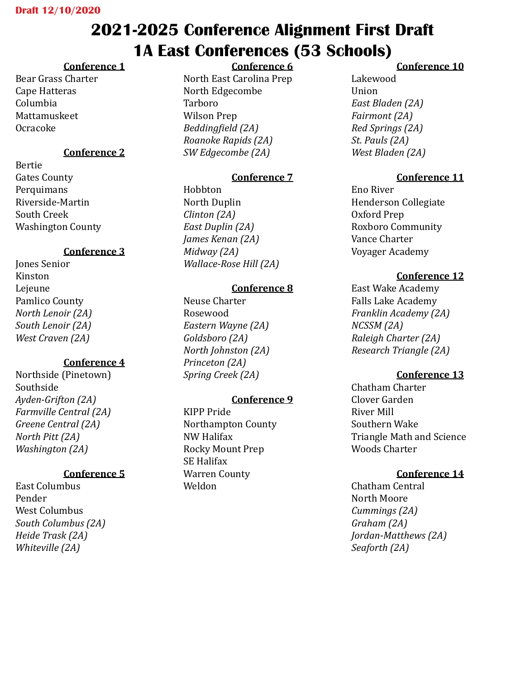# **2021-2025 Conference Alignment First Draft 1A East Conferences (53 Schools)**

## **Conference 1**

Bear Grass Charter Cape Hatteras Columbia Mattamuskeet Ocracoke

#### **Conference 2**

Bertie Gates County **Perquimans** Riverside-Martin South Creek Washington County

#### **Conference 3**

Jones Senior Kinston Lejeune Pamlico County *North Lenoir (2A) South Lenoir (2A) West Craven (2A)*

#### **Conference 4**

Northside (Pinetown) Southside *Ayden-Grifton (2A) Farmville Central (2A) Greene Central (2A) North Pitt (2A) Washington (2A)*

#### **Conference 5**

East Columbus Pender West Columbus *South Columbus (2A) Heide Trask (2A) Whiteville (2A)* 

## **Conference 6**

North East Carolina Prep North Edgecombe Tarboro Wilson Prep *Beddingfield (2A) Roanoke Rapids (2A) SW Edgecombe (2A)*

#### **Conference 7**

Hobbton North Duplin *Clinton (2A) East Duplin (2A) James Kenan (2A) Midway (2A) Wallace-Rose Hill (2A)*

## **Conference 8**

Neuse Charter Rosewood *Eastern Wayne (2A) Goldsboro (2A) North Johnston (2A) Princeton (2A) Spring Creek (2A)*

## **Conference 9**

KIPP Pride Northampton County NW Halifax Rocky Mount Prep SE Halifax Warren County Weldon

#### **Conference 10**

Lakewood Union *East Bladen (2A) Fairmont (2A) Red Springs (2A) St. Pauls (2A) West Bladen (2A)*

## **Conference 11**

Eno River Henderson Collegiate Oxford Prep Roxboro Community Vance Charter Voyager Academy

#### **Conference 12**

East Wake Academy Falls Lake Academy *Franklin Academy (2A) NCSSM (2A) Raleigh Charter (2A) Research Triangle (2A)* 

## **Conference 13**

Chatham Charter Clover Garden River Mill Southern Wake Triangle Math and Science Woods Charter

#### **Conference 14**

Chatham Central North Moore *Cummings (2A) Graham (2A) Jordan-Matthews (2A) Seaforth (2A)*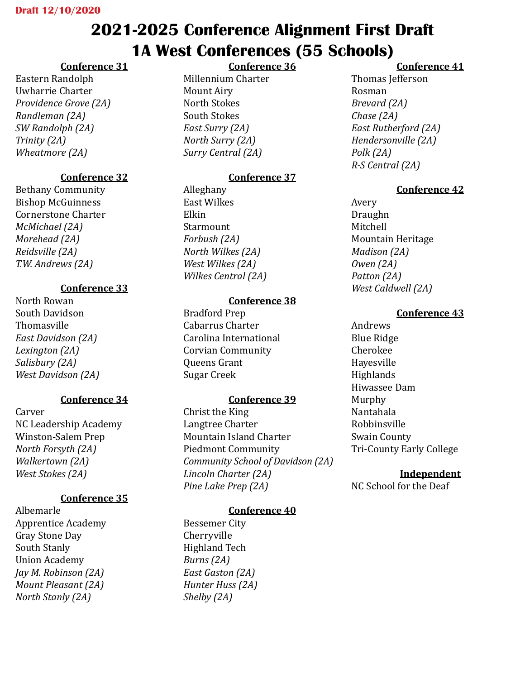# **2021-2025 Conference Alignment First Draft 1A West Conferences (55 Schools)**

**Conference 36**

# **Conference 31**

Eastern Randolph Uwharrie Charter *Providence Grove (2A) Randleman (2A) SW Randolph (2A) Trinity (2A) Wheatmore (2A)*

# **Conference 32**

Bethany Community Bishop McGuinness Cornerstone Charter *McMichael (2A) Morehead (2A) Reidsville (2A) T.W. Andrews (2A)*

## **Conference 33**

North Rowan South Davidson Thomasville *East Davidson (2A) Lexington (2A) Salisbury (2A) West Davidson (2A)*

# **Conference 34**

Carver NC Leadership Academy Winston-Salem Prep *North Forsyth (2A) Walkertown (2A) West Stokes (2A)*

# **Conference 35**

Albemarle Apprentice Academy Gray Stone Day South Stanly Union Academy *Jay M. Robinson (2A) Mount Pleasant (2A) North Stanly (2A)*

Millennium Charter Mount Airy North Stokes South Stokes *East Surry (2A) North Surry (2A) Surry Central (2A)*

# **Conference 37**

Alleghany East Wilkes Elkin Starmount *Forbush (2A) North Wilkes (2A) West Wilkes (2A) Wilkes Central (2A)*

## **Conference 38**

Bradford Prep Cabarrus Charter Carolina International Corvian Community Queens Grant Sugar Creek

# **Conference 39**

Christ the King Langtree Charter Mountain Island Charter Piedmont Community *Community School of Davidson (2A) Lincoln Charter (2A) Pine Lake Prep (2A)*

# **Conference 40**

Bessemer City Cherryville Highland Tech *Burns (2A) East Gaston (2A) Hunter Huss (2A) Shelby (2A)*

# **Conference 41**

Thomas Jefferson Rosman *Brevard (2A) Chase (2A) East Rutherford (2A) Hendersonville (2A) Polk (2A) R-S Central (2A)*

## **Conference 42**

Avery Draughn Mitchell Mountain Heritage *Madison (2A) Owen (2A) Patton (2A) West Caldwell (2A)*

## **Conference 43**

Andrews Blue Ridge Cherokee Hayesville Highlands Hiwassee Dam Murphy Nantahala Robbinsville Swain County Tri-County Early College

# **Independent**

NC School for the Deaf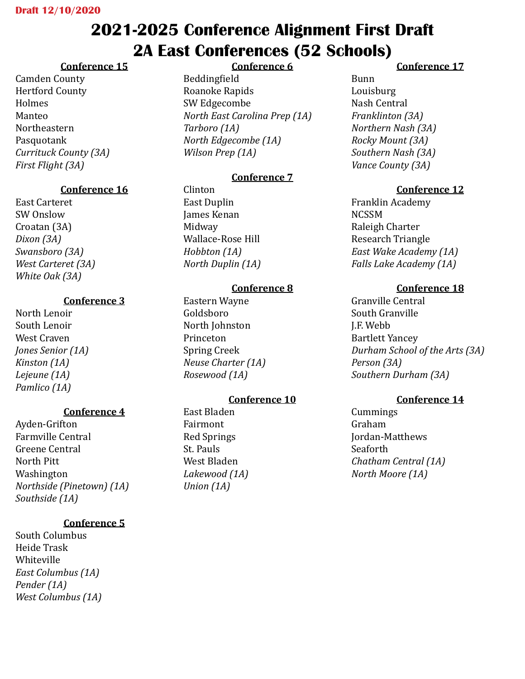# **2021-2025 Conference Alignment First Draft 2A East Conferences (52 Schools)**

## **Conference 15**

Camden County Hertford County Holmes Manteo Northeastern Pasquotank *Currituck County (3A) First Flight (3A)*

## **Conference 16**

East Carteret SW Onslow Croatan (3A) *Dixon (3A) Swansboro (3A) West Carteret (3A) White Oak (3A)*

#### **Conference 3**

North Lenoir South Lenoir West Craven *Jones Senior (1A) Kinston (1A) Lejeune (1A) Pamlico (1A)*

#### **Conference 4**

Ayden-Grifton Farmville Central Greene Central North Pitt Washington *Northside (Pinetown) (1A) Southside (1A)*

## **Conference 5**

South Columbus Heide Trask Whiteville *East Columbus (1A) Pender (1A) West Columbus (1A)*

#### **Conference 6**

Beddingfield Roanoke Rapids SW Edgecombe *North East Carolina Prep (1A) Tarboro (1A) North Edgecombe (1A) Wilson Prep (1A)*

#### **Conference 7**

Clinton East Duplin James Kenan Midway Wallace-Rose Hill *Hobbton (1A) North Duplin (1A)*

#### **Conference 8**

Eastern Wayne Goldsboro North Johnston Princeton Spring Creek *Neuse Charter (1A) Rosewood (1A)*

## **Conference 10**

East Bladen Fairmont Red Springs St. Pauls West Bladen *Lakewood (1A) Union (1A)*

#### **Conference 17**

Bunn Louisburg Nash Central *Franklinton (3A) Northern Nash (3A) Rocky Mount (3A) Southern Nash (3A) Vance County (3A)*

#### **Conference 12**

Franklin Academy **NCSSM** Raleigh Charter Research Triangle *East Wake Academy (1A) Falls Lake Academy (1A)*

#### **Conference 18**

Granville Central South Granville J.F. Webb Bartlett Yancey *Durham School of the Arts (3A) Person (3A) Southern Durham (3A)* 

#### **Conference 14**

Cummings Graham Jordan-Matthews Seaforth *Chatham Central (1A) North Moore (1A)*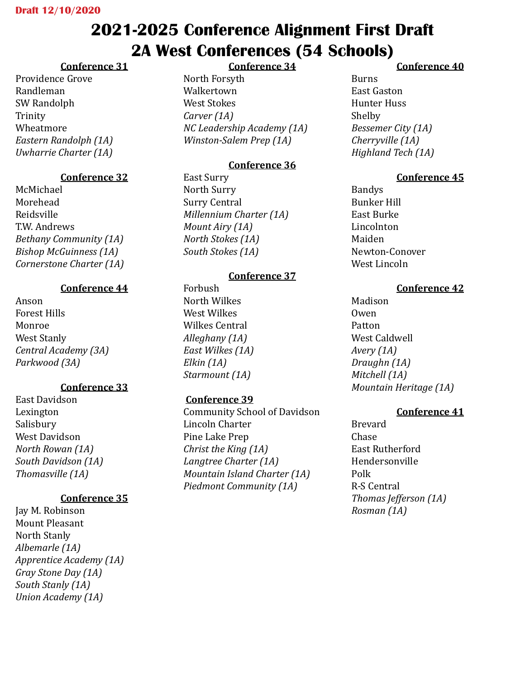# **2021-2025 Conference Alignment First Draft 2A West Conferences (54 Schools)**

# **Conference 31**

Providence Grove Randleman SW Randolph Trinity Wheatmore *Eastern Randolph (1A) Uwharrie Charter (1A)*

# **Conference 32**

McMichael Morehead Reidsville T.W. Andrews *Bethany Community (1A) Bishop McGuinness (1A) Cornerstone Charter (1A)*

# **Conference 44**

Anson Forest Hills Monroe West Stanly *Central Academy (3A) Parkwood (3A)*

# **Conference 33**

East Davidson Lexington Salisbury West Davidson *North Rowan (1A) South Davidson (1A) Thomasville (1A)*

# **Conference 35**

Jay M. Robinson Mount Pleasant North Stanly *Albemarle (1A) Apprentice Academy (1A) Gray Stone Day (1A) South Stanly (1A) Union Academy (1A)*

**Conference 34**

North Forsyth Walkertown West Stokes *Carver (1A) NC Leadership Academy (1A) Winston-Salem Prep (1A)*

# **Conference 36**

East Surry North Surry Surry Central *Millennium Charter (1A) Mount Airy (1A) North Stokes (1A) South Stokes (1A)*

# **Conference 37**

Forbush North Wilkes West Wilkes Wilkes Central *Alleghany (1A) East Wilkes (1A) Elkin (1A) Starmount (1A)*

# **Conference 39**

Community School of Davidson Lincoln Charter Pine Lake Prep *Christ the King (1A) Langtree Charter (1A) Mountain Island Charter (1A) Piedmont Community (1A)*

## **Conference 40**

Burns East Gaston Hunter Huss Shelby *Bessemer City (1A) Cherryville (1A) Highland Tech (1A)*

# **Conference 45**

Bandys Bunker Hill East Burke Lincolnton Maiden Newton-Conover West Lincoln

# **Conference 42**

Madison Owen Patton West Caldwell *Avery (1A) Draughn (1A) Mitchell (1A) Mountain Heritage (1A)*

# **Conference 41**

Brevard Chase East Rutherford Hendersonville Polk R-S Central *Thomas Jefferson (1A) Rosman (1A)*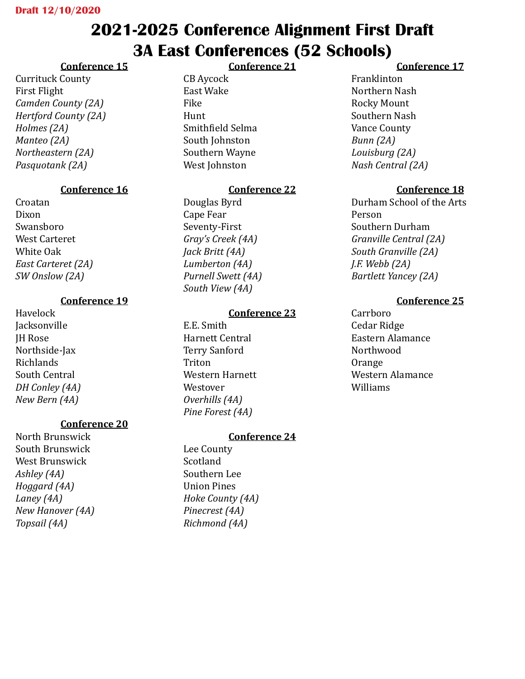# **2021-2025 Conference Alignment First Draft 3A East Conferences (52 Schools)**

**Conference 21**

## **Conference 15**

Currituck County First Flight *Camden County (2A) Hertford County (2A) Holmes (2A) Manteo (2A) Northeastern (2A) Pasquotank (2A)*

## **Conference 16**

Croatan Dixon Swansboro West Carteret White Oak *East Carteret (2A) SW Onslow (2A)*

#### **Conference 19**

Havelock Jacksonville JH Rose Northside-Jax Richlands South Central *DH Conley (4A) New Bern (4A)*

# **Conference 20**

North Brunswick South Brunswick West Brunswick *Ashley (4A) Hoggard (4A) Laney (4A) New Hanover (4A) Topsail (4A)*

CB Aycock East Wake Fike Hunt Smithfield Selma South Johnston Southern Wayne West Johnston

## **Conference 22**

Douglas Byrd Cape Fear Seventy-First *Gray's Creek (4A) Jack Britt (4A) Lumberton (4A) Purnell Swett (4A) South View (4A)*

## **Conference 23**

E.E. Smith Harnett Central Terry Sanford Triton Western Harnett Westover *Overhills (4A) Pine Forest (4A)*

# **Conference 24**

Lee County Scotland Southern Lee Union Pines *Hoke County (4A) Pinecrest (4A) Richmond (4A)*

## **Conference 17**

Franklinton Northern Nash Rocky Mount Southern Nash Vance County *Bunn (2A) Louisburg (2A) Nash Central (2A)*

## **Conference 18**

Durham School of the Arts Person Southern Durham *Granville Central (2A) South Granville (2A) J.F. Webb (2A) Bartlett Yancey (2A)*

## **Conference 25**

Carrboro Cedar Ridge Eastern Alamance Northwood Orange Western Alamance Williams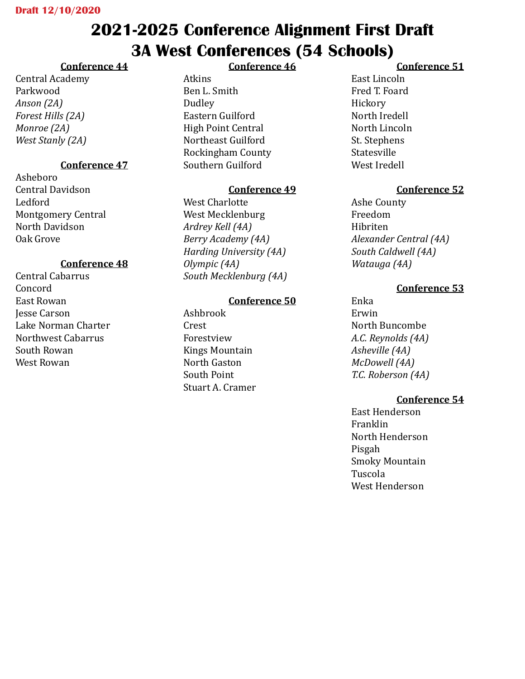# **2021-2025 Conference Alignment First Draft 3A West Conferences (54 Schools)**

# **Conference 44**

Central Academy Parkwood *Anson (2A) Forest Hills (2A) Monroe (2A) West Stanly (2A)*

# **Conference 47**

Asheboro Central Davidson Ledford Montgomery Central North Davidson Oak Grove

# **Conference 48**

Central Cabarrus Concord East Rowan Jesse Carson Lake Norman Charter Northwest Cabarrus South Rowan West Rowan

## **Conference 46**

Atkins Ben L. Smith Dudley Eastern Guilford High Point Central Northeast Guilford Rockingham County Southern Guilford

## **Conference 49**

West Charlotte West Mecklenburg *Ardrey Kell (4A) Berry Academy (4A) Harding University (4A) Olympic (4A) South Mecklenburg (4A)*

#### **Conference 50**

Ashbrook Crest Forestview Kings Mountain North Gaston South Point Stuart A. Cramer

## **Conference 51**

East Lincoln Fred T. Foard Hickory North Iredell North Lincoln St. Stephens Statesville West Iredell

## **Conference 52**

Ashe County Freedom Hibriten *Alexander Central (4A) South Caldwell (4A) Watauga (4A)*

## **Conference 53**

Enka Erwin North Buncombe *A.C. Reynolds (4A) Asheville (4A) McDowell (4A) T.C. Roberson (4A)*

## **Conference 54**

East Henderson Franklin North Henderson Pisgah Smoky Mountain Tuscola West Henderson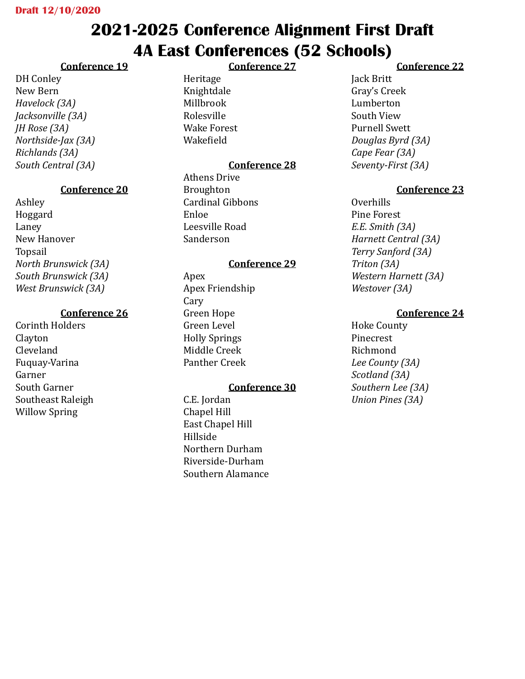# **2021-2025 Conference Alignment First Draft 4A East Conferences (52 Schools)**

**Conference 27**

# **Conference 19**

DH Conley New Bern *Havelock (3A) Jacksonville (3A) JH Rose (3A) Northside-Jax (3A) Richlands (3A) South Central (3A)*

# **Conference 20**

Ashley Hoggard Laney New Hanover Topsail *North Brunswick (3A) South Brunswick (3A) West Brunswick (3A)*

# **Conference 26**

Corinth Holders Clayton Cleveland Fuquay-Varina Garner South Garner Southeast Raleigh Willow Spring

Heritage Knightdale Millbrook Rolesville Wake Forest Wakefield

# **Conference 28**

Athens Drive Broughton Cardinal Gibbons Enloe Leesville Road Sanderson

# **Conference 29**

Apex Apex Friendship Cary Green Hope Green Level Holly Springs Middle Creek Panther Creek

## **Conference 30**

C.E. Jordan Chapel Hill East Chapel Hill Hillside Northern Durham Riverside-Durham Southern Alamance

# **Conference 22**

Jack Britt Gray's Creek Lumberton South View Purnell Swett *Douglas Byrd (3A) Cape Fear (3A) Seventy-First (3A)*

# **Conference 23**

Overhills Pine Forest *E.E. Smith (3A) Harnett Central (3A) Terry Sanford (3A) Triton (3A) Western Harnett (3A) Westover (3A)*

# **Conference 24**

Hoke County Pinecrest Richmond *Lee County (3A) Scotland (3A) Southern Lee (3A) Union Pines (3A)*